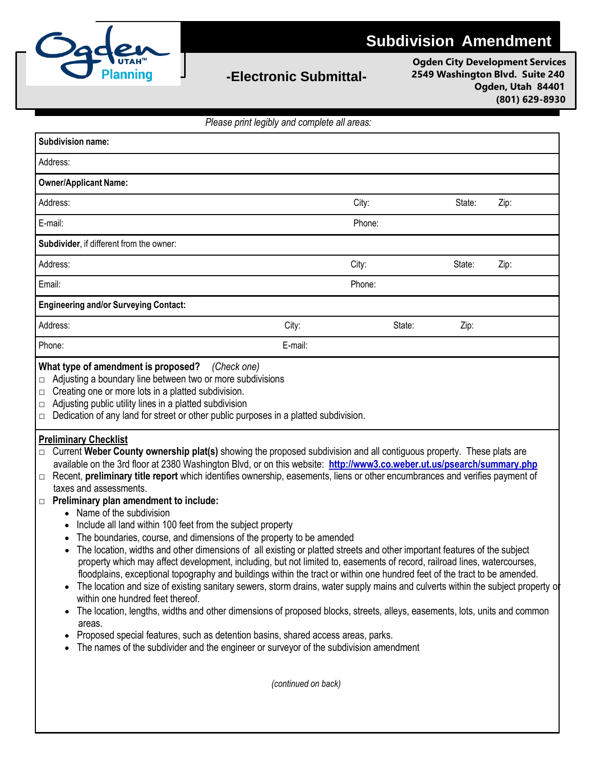

## **-Electronic Submittal-**

**Ogden City Development Services 2549 Washington Blvd. Suite 240 Ogden, Utah 84401 (801) 629-8930**

*Please print legibly and complete all areas:*

| Subdivision name:                                                                                                                                                                                                                                                                                                                                                                                                                                                                                                                                                                                                                                                                                                                                                                                                                                                                                                                                                                                                                                                                                                                                                                                                                                                                                                                                                                                                                                                                                                                                                                                                                                                                                                                                                                                                                                                                                                                                            |         |        |        |      |
|--------------------------------------------------------------------------------------------------------------------------------------------------------------------------------------------------------------------------------------------------------------------------------------------------------------------------------------------------------------------------------------------------------------------------------------------------------------------------------------------------------------------------------------------------------------------------------------------------------------------------------------------------------------------------------------------------------------------------------------------------------------------------------------------------------------------------------------------------------------------------------------------------------------------------------------------------------------------------------------------------------------------------------------------------------------------------------------------------------------------------------------------------------------------------------------------------------------------------------------------------------------------------------------------------------------------------------------------------------------------------------------------------------------------------------------------------------------------------------------------------------------------------------------------------------------------------------------------------------------------------------------------------------------------------------------------------------------------------------------------------------------------------------------------------------------------------------------------------------------------------------------------------------------------------------------------------------------|---------|--------|--------|------|
| Address:                                                                                                                                                                                                                                                                                                                                                                                                                                                                                                                                                                                                                                                                                                                                                                                                                                                                                                                                                                                                                                                                                                                                                                                                                                                                                                                                                                                                                                                                                                                                                                                                                                                                                                                                                                                                                                                                                                                                                     |         |        |        |      |
| <b>Owner/Applicant Name:</b>                                                                                                                                                                                                                                                                                                                                                                                                                                                                                                                                                                                                                                                                                                                                                                                                                                                                                                                                                                                                                                                                                                                                                                                                                                                                                                                                                                                                                                                                                                                                                                                                                                                                                                                                                                                                                                                                                                                                 |         |        |        |      |
| Address:                                                                                                                                                                                                                                                                                                                                                                                                                                                                                                                                                                                                                                                                                                                                                                                                                                                                                                                                                                                                                                                                                                                                                                                                                                                                                                                                                                                                                                                                                                                                                                                                                                                                                                                                                                                                                                                                                                                                                     | City:   |        | State: | Zip: |
| E-mail:                                                                                                                                                                                                                                                                                                                                                                                                                                                                                                                                                                                                                                                                                                                                                                                                                                                                                                                                                                                                                                                                                                                                                                                                                                                                                                                                                                                                                                                                                                                                                                                                                                                                                                                                                                                                                                                                                                                                                      | Phone:  |        |        |      |
| Subdivider, if different from the owner:                                                                                                                                                                                                                                                                                                                                                                                                                                                                                                                                                                                                                                                                                                                                                                                                                                                                                                                                                                                                                                                                                                                                                                                                                                                                                                                                                                                                                                                                                                                                                                                                                                                                                                                                                                                                                                                                                                                     |         |        |        |      |
| Address:                                                                                                                                                                                                                                                                                                                                                                                                                                                                                                                                                                                                                                                                                                                                                                                                                                                                                                                                                                                                                                                                                                                                                                                                                                                                                                                                                                                                                                                                                                                                                                                                                                                                                                                                                                                                                                                                                                                                                     | City:   |        | State: | Zip: |
| Email:                                                                                                                                                                                                                                                                                                                                                                                                                                                                                                                                                                                                                                                                                                                                                                                                                                                                                                                                                                                                                                                                                                                                                                                                                                                                                                                                                                                                                                                                                                                                                                                                                                                                                                                                                                                                                                                                                                                                                       |         | Phone: |        |      |
| <b>Engineering and/or Surveying Contact:</b>                                                                                                                                                                                                                                                                                                                                                                                                                                                                                                                                                                                                                                                                                                                                                                                                                                                                                                                                                                                                                                                                                                                                                                                                                                                                                                                                                                                                                                                                                                                                                                                                                                                                                                                                                                                                                                                                                                                 |         |        |        |      |
| Address:                                                                                                                                                                                                                                                                                                                                                                                                                                                                                                                                                                                                                                                                                                                                                                                                                                                                                                                                                                                                                                                                                                                                                                                                                                                                                                                                                                                                                                                                                                                                                                                                                                                                                                                                                                                                                                                                                                                                                     | City:   | State: | Zip:   |      |
| Phone:                                                                                                                                                                                                                                                                                                                                                                                                                                                                                                                                                                                                                                                                                                                                                                                                                                                                                                                                                                                                                                                                                                                                                                                                                                                                                                                                                                                                                                                                                                                                                                                                                                                                                                                                                                                                                                                                                                                                                       | E-mail: |        |        |      |
| What type of amendment is proposed?<br>(Check one)<br>Adjusting a boundary line between two or more subdivisions<br>$\Box$<br>Creating one or more lots in a platted subdivision.<br>$\Box$<br>Adjusting public utility lines in a platted subdivision<br>$\Box$<br>Dedication of any land for street or other public purposes in a platted subdivision.<br>$\Box$<br><b>Preliminary Checklist</b><br>Current Weber County ownership plat(s) showing the proposed subdivision and all contiguous property. These plats are<br>$\Box$<br>available on the 3rd floor at 2380 Washington Blvd, or on this website: http://www3.co.weber.ut.us/psearch/summary.php<br>Recent, preliminary title report which identifies ownership, easements, liens or other encumbrances and verifies payment of<br>$\Box$<br>taxes and assessments.<br>$\Box$ Preliminary plan amendment to include:<br>Name of the subdivision<br>Include all land within 100 feet from the subject property<br>The boundaries, course, and dimensions of the property to be amended<br>The location, widths and other dimensions of all existing or platted streets and other important features of the subject<br>property which may affect development, including, but not limited to, easements of record, railroad lines, watercourses<br>floodplains, exceptional topography and buildings within the tract or within one hundred feet of the tract to be amended.<br>The location and size of existing sanitary sewers, storm drains, water supply mains and culverts within the subject property of<br>$\bullet$<br>within one hundred feet thereof.<br>The location, lengths, widths and other dimensions of proposed blocks, streets, alleys, easements, lots, units and common<br>$\bullet$<br>areas.<br>Proposed special features, such as detention basins, shared access areas, parks.<br>The names of the subdivider and the engineer or surveyor of the subdivision amendment |         |        |        |      |

*(continued on back)*